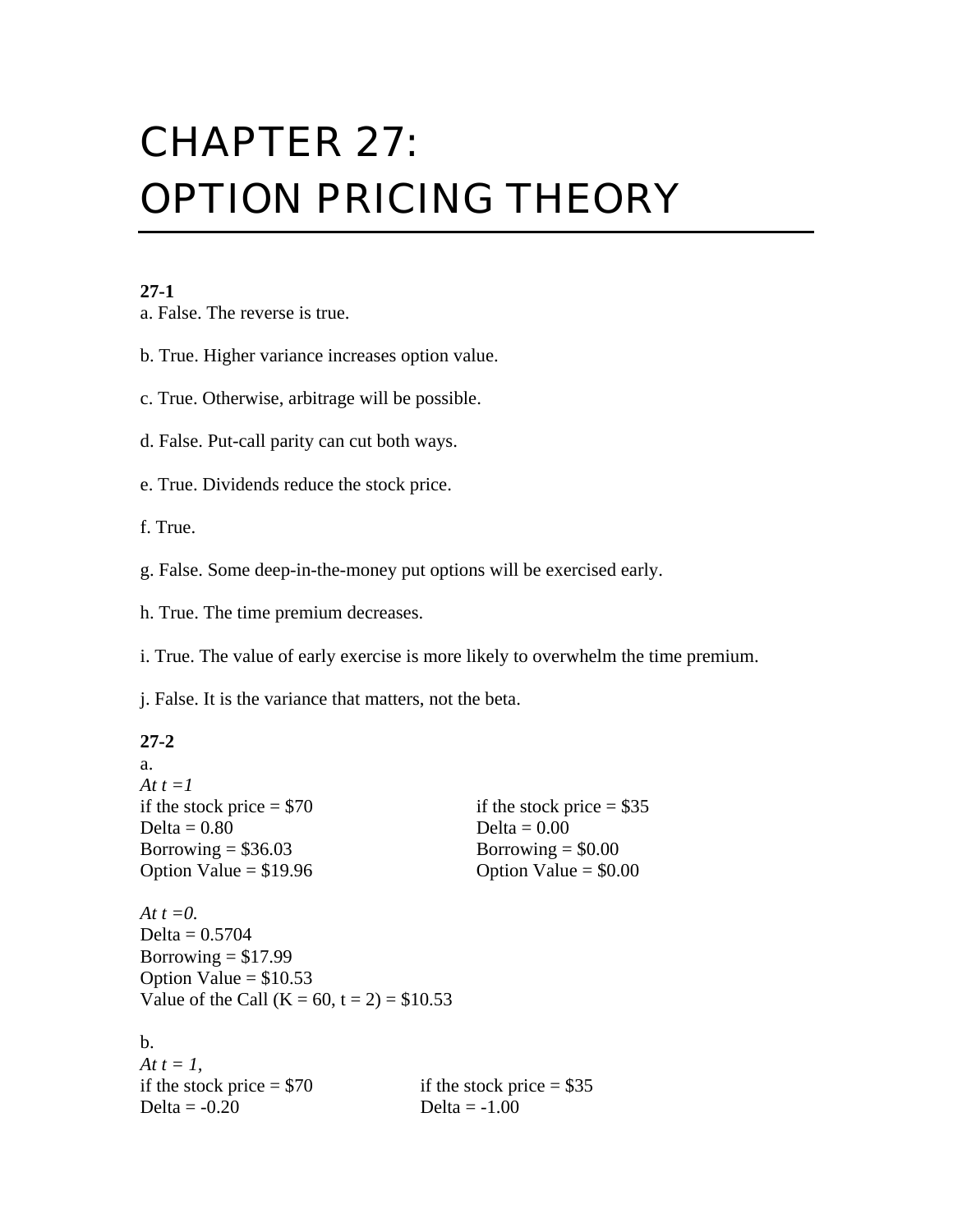# CHAPTER 27: OPTION PRICING THEORY

#### **27-1**

a. False. The reverse is true.

b. True. Higher variance increases option value.

c. True. Otherwise, arbitrage will be possible.

d. False. Put-call parity can cut both ways.

e. True. Dividends reduce the stock price.

f. True.

g. False. Some deep-in-the-money put options will be exercised early.

h. True. The time premium decreases.

i. True. The value of early exercise is more likely to overwhelm the time premium.

j. False. It is the variance that matters, not the beta.

#### **27-2**

a.

| At $t = l$                                   |                            |  |
|----------------------------------------------|----------------------------|--|
| if the stock price $= $70$                   | if the stock price $= $35$ |  |
| Delta $= 0.80$                               | Delta = $0.00$             |  |
| Borrowing $= $36.03$                         | Borrowing $= $0.00$        |  |
| Option Value = $$19.96$                      | Option Value = $$0.00$     |  |
| At $t=0$ .                                   |                            |  |
| Delta = $0.5704$                             |                            |  |
| Borrowing $= $17.99$                         |                            |  |
| Option Value = $$10.53$                      |                            |  |
| Value of the Call (K = 60, t = 2) = $$10.53$ |                            |  |
| b.                                           |                            |  |
| At $t = 1$ ,                                 |                            |  |
| if the stock price $= $70$                   | if the stock price $= $35$ |  |
| Delta $= -0.20$                              | Delta = $-1.00$            |  |
|                                              |                            |  |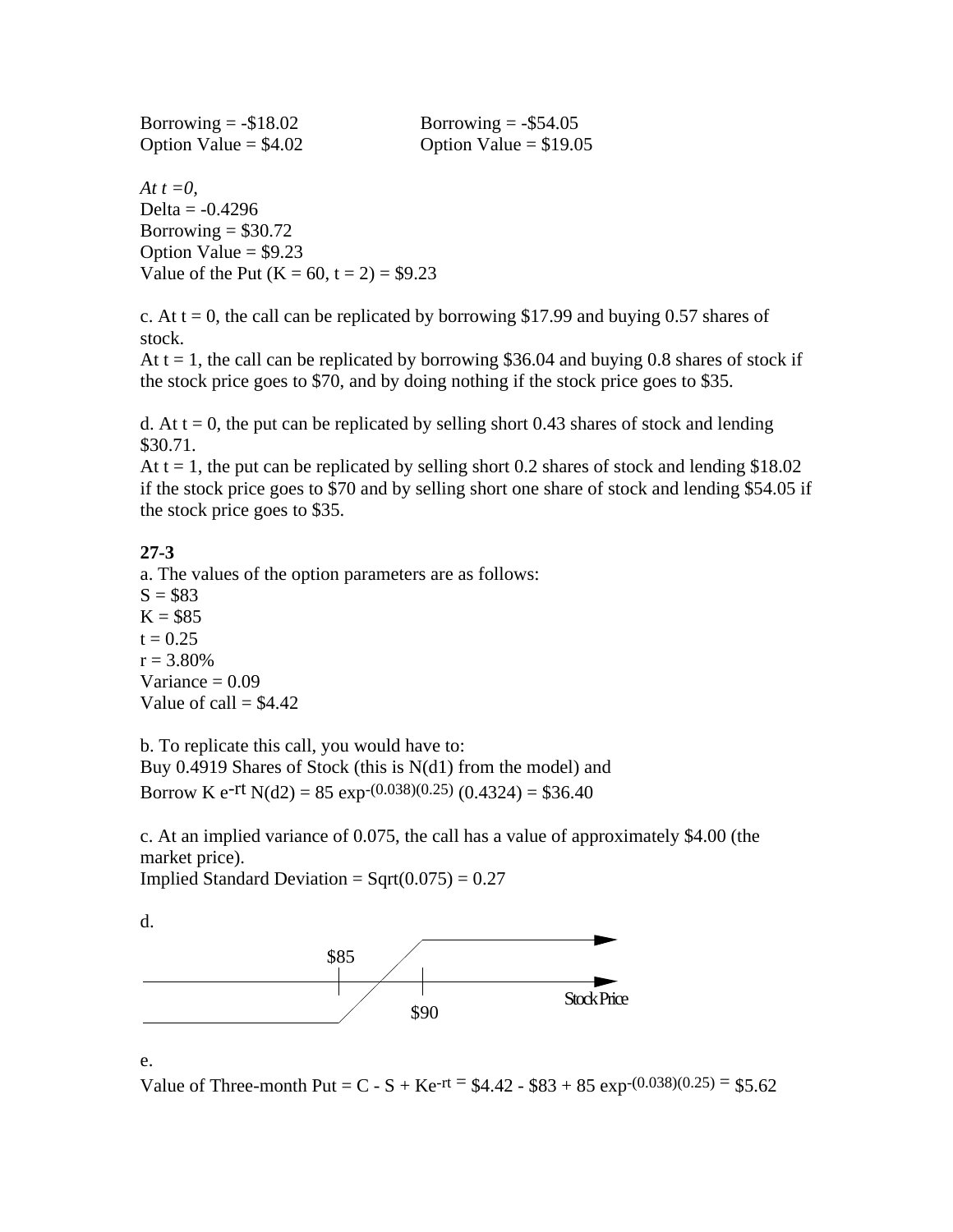| Borrowing $= -\$18.02$ | Borrowing $= -\$54.05$  |
|------------------------|-------------------------|
| Option Value $= $4.02$ | Option Value = $$19.05$ |

*At t =0,* Delta =  $-0.4296$ Borrowing  $= $30.72$ Option Value  $= $9.23$ Value of the Put  $(K = 60, t = 2) = $9.23$ 

c. At  $t = 0$ , the call can be replicated by borrowing \$17.99 and buying 0.57 shares of stock.

At  $t = 1$ , the call can be replicated by borrowing \$36.04 and buying 0.8 shares of stock if the stock price goes to \$70, and by doing nothing if the stock price goes to \$35.

d. At  $t = 0$ , the put can be replicated by selling short 0.43 shares of stock and lending \$30.71.

At  $t = 1$ , the put can be replicated by selling short 0.2 shares of stock and lending \$18.02 if the stock price goes to \$70 and by selling short one share of stock and lending \$54.05 if the stock price goes to \$35.

### **27-3**

a. The values of the option parameters are as follows:  $S = $83$  $K = $85$  $t = 0.25$  $r = 3.80\%$ Variance  $= 0.09$ Value of call  $=$  \$4.42

b. To replicate this call, you would have to:

Buy 0.4919 Shares of Stock (this is N(d1) from the model) and Borrow K e-rt N(d2) =  $85 \exp(0.038)(0.25)$  (0.4324) = \$36.40

c. At an implied variance of 0.075, the call has a value of approximately \$4.00 (the market price).

Implied Standard Deviation =  $Sqrt(0.075) = 0.27$ 

d.



e.

Value of Three-month Put =  $C - S + Ke^{-rt} = $4.42 - $83 + 85 \exp(0.038)(0.25) = $5.62$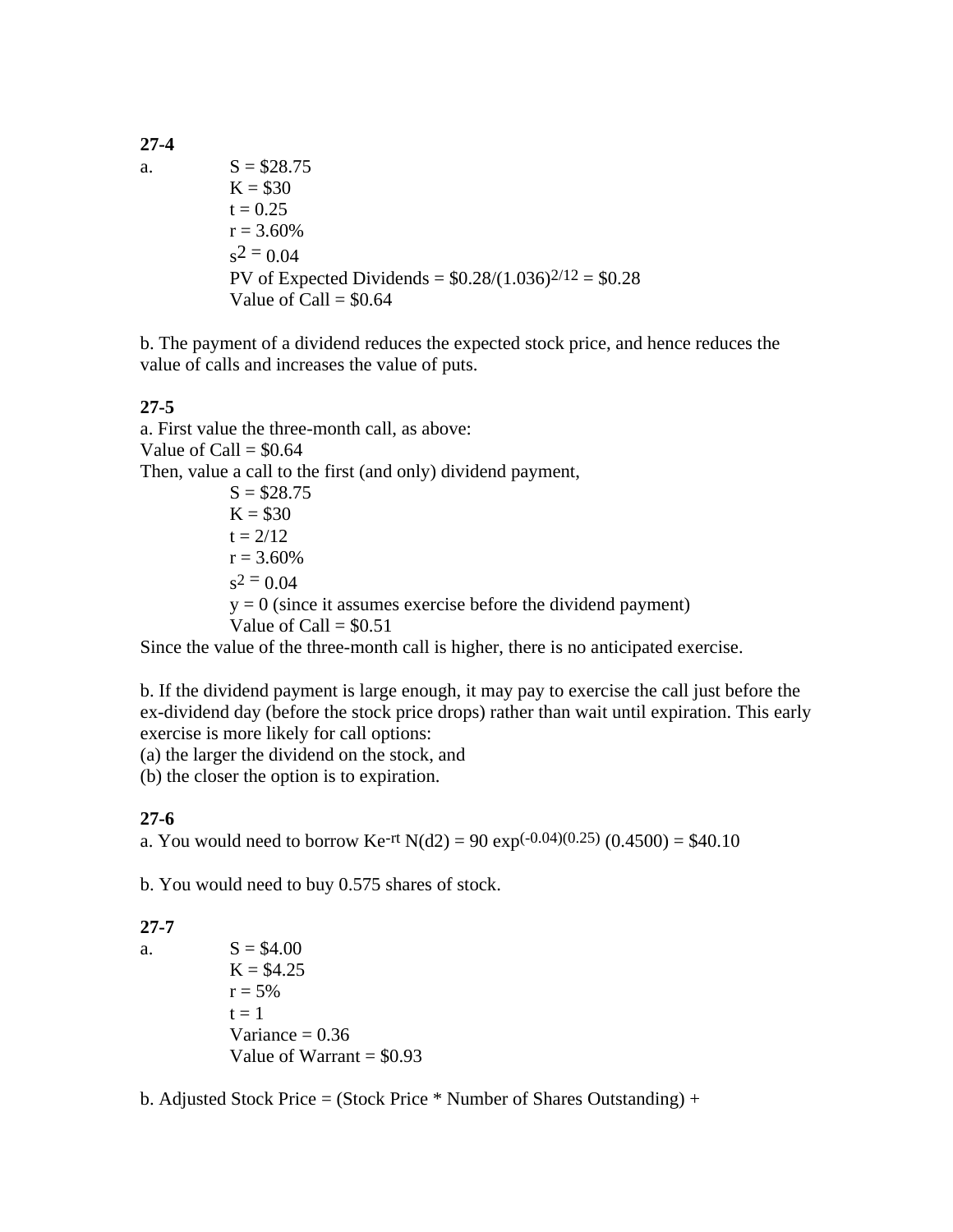**27-4**

a.  $S = $28.75$  $K = $30$  $t = 0.25$  $r = 3.60\%$  $s^2 = 0.04$ PV of Expected Dividends =  $$0.28/(1.036)^{2/12} = $0.28$ Value of Call  $= $0.64$ 

b. The payment of a dividend reduces the expected stock price, and hence reduces the value of calls and increases the value of puts.

### **27-5**

a. First value the three-month call, as above: Value of Call  $=$  \$0.64 Then, value a call to the first (and only) dividend payment,  $S = $28.75$  $K = $30$  $t = 2/12$  $r = 3.60\%$  $s^2$  = 0.04  $y = 0$  (since it assumes exercise before the dividend payment) Value of Call  $= $0.51$ 

Since the value of the three-month call is higher, there is no anticipated exercise.

b. If the dividend payment is large enough, it may pay to exercise the call just before the ex-dividend day (before the stock price drops) rather than wait until expiration. This early exercise is more likely for call options:

(a) the larger the dividend on the stock, and

(b) the closer the option is to expiration.

#### **27-6**

a. You would need to borrow Ke<sup>-rt</sup> N(d2) = 90 exp<sup>(-0.04)(0.25)</sup> (0.4500) = \$40.10

b. You would need to buy 0.575 shares of stock.

#### **27-7**

a.  $S = $4.00$  $K = $4.25$  $r = 5\%$  $t = 1$ Variance  $= 0.36$ Value of Warrant  $= $0.93$ 

b. Adjusted Stock Price = (Stock Price  $*$  Number of Shares Outstanding) +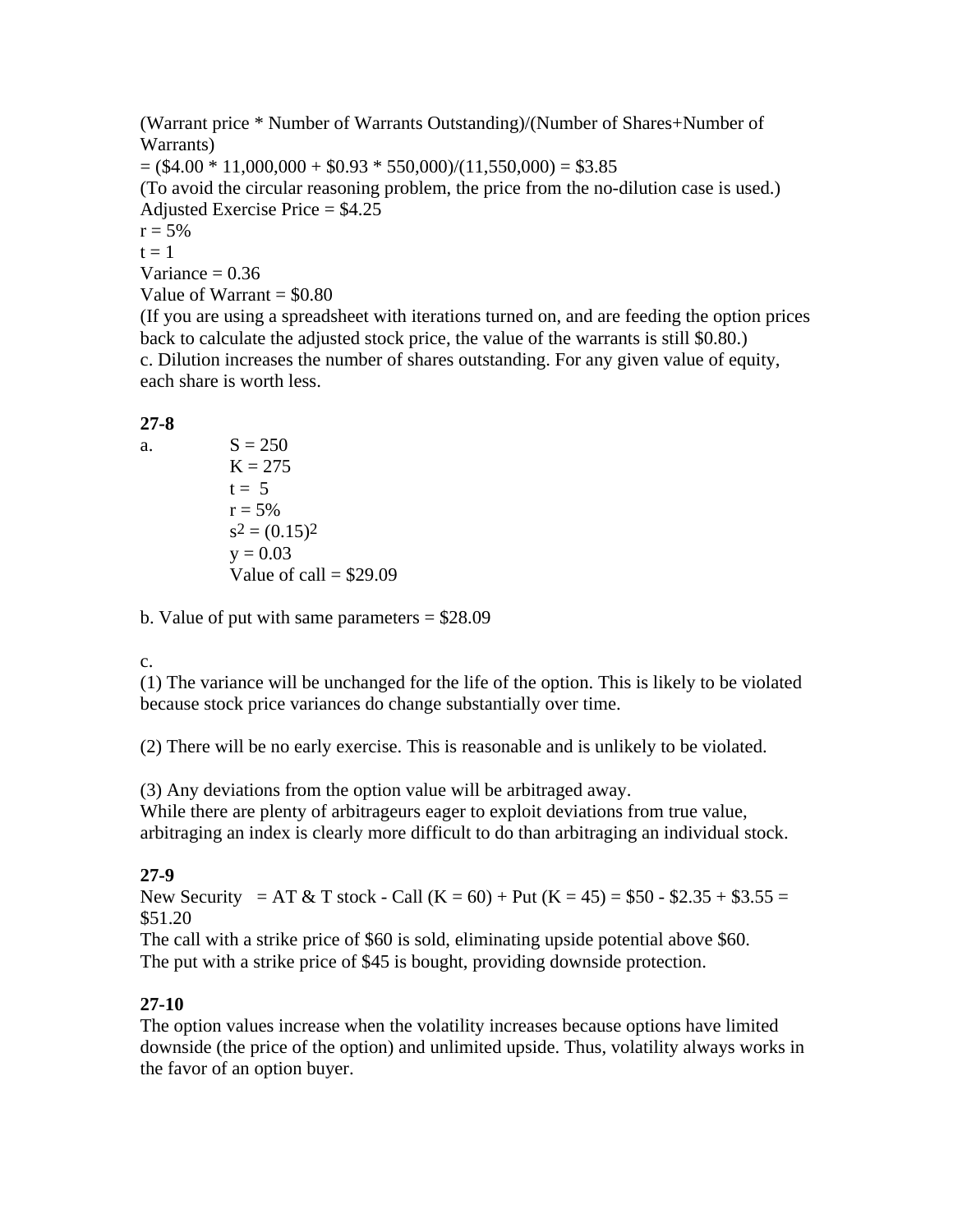(Warrant price \* Number of Warrants Outstanding)/(Number of Shares+Number of Warrants)  $= (\$4.00 * 11,000,000 + \$0.93 * 550,000)/(11,550,000) = \$3.85$ (To avoid the circular reasoning problem, the price from the no-dilution case is used.) Adjusted Exercise Price = \$4.25  $r = 5\%$  $t = 1$ Variance  $= 0.36$ Value of Warrant  $= $0.80$ 

(If you are using a spreadsheet with iterations turned on, and are feeding the option prices back to calculate the adjusted stock price, the value of the warrants is still \$0.80.) c. Dilution increases the number of shares outstanding. For any given value of equity, each share is worth less.

#### **27-8**

a.  $S = 250$  $K = 275$  $t = 5$  $r = 5\%$  $s^2 = (0.15)^2$  $v = 0.03$ Value of call  $=$  \$29.09

b. Value of put with same parameters  $= $28.09$ 

c.

(1) The variance will be unchanged for the life of the option. This is likely to be violated because stock price variances do change substantially over time.

(2) There will be no early exercise. This is reasonable and is unlikely to be violated.

(3) Any deviations from the option value will be arbitraged away.

While there are plenty of arbitrageurs eager to exploit deviations from true value, arbitraging an index is clearly more difficult to do than arbitraging an individual stock.

# **27-9**

New Security = AT & T stock - Call  $(K = 60) +$  Put  $(K = 45) = $50 - $2.35 + $3.55 =$ \$51.20

The call with a strike price of \$60 is sold, eliminating upside potential above \$60. The put with a strike price of \$45 is bought, providing downside protection.

# **27-10**

The option values increase when the volatility increases because options have limited downside (the price of the option) and unlimited upside. Thus, volatility always works in the favor of an option buyer.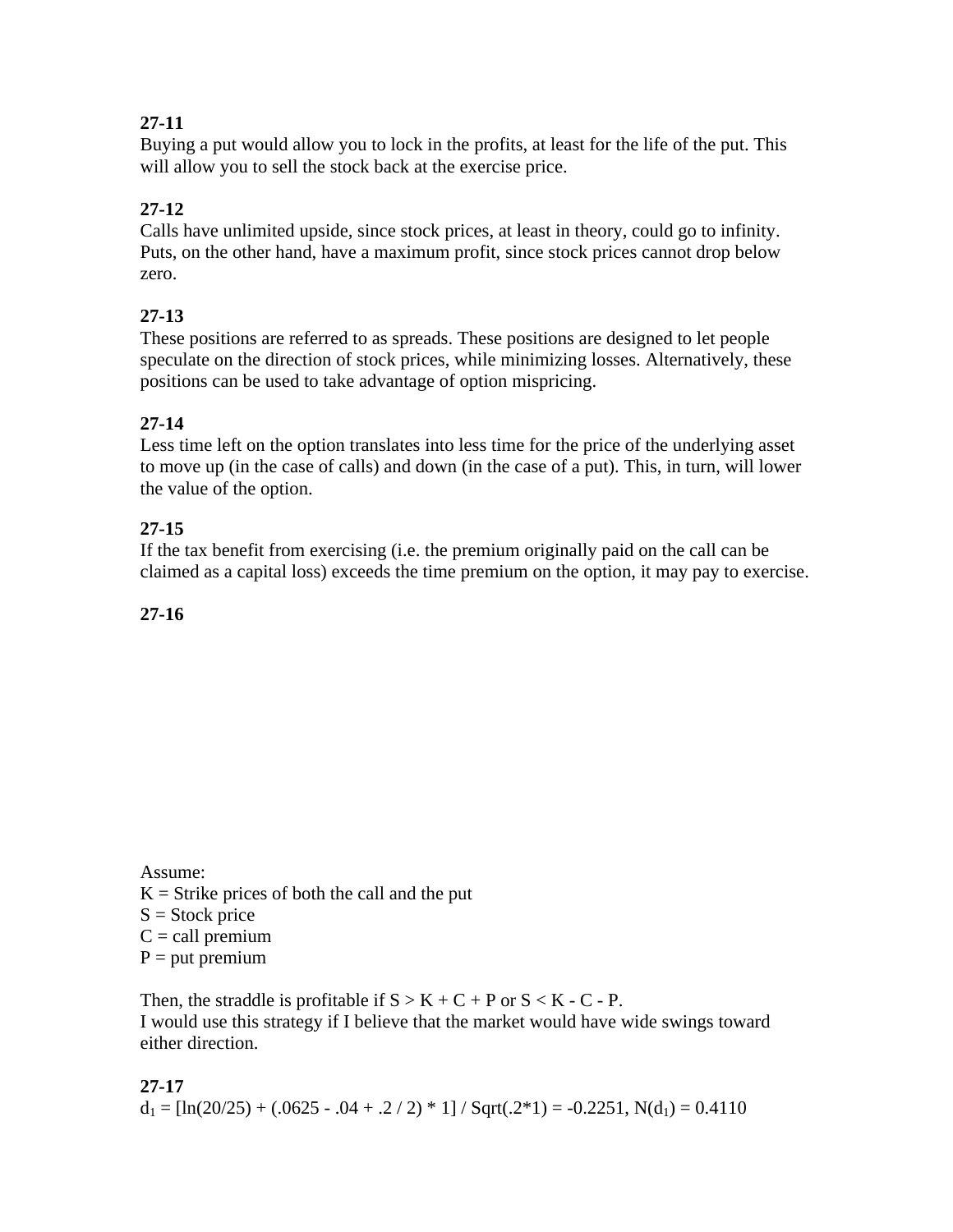# **27-11**

Buying a put would allow you to lock in the profits, at least for the life of the put. This will allow you to sell the stock back at the exercise price.

# **27-12**

Calls have unlimited upside, since stock prices, at least in theory, could go to infinity. Puts, on the other hand, have a maximum profit, since stock prices cannot drop below zero.

# **27-13**

These positions are referred to as spreads. These positions are designed to let people speculate on the direction of stock prices, while minimizing losses. Alternatively, these positions can be used to take advantage of option mispricing.

# **27-14**

Less time left on the option translates into less time for the price of the underlying asset to move up (in the case of calls) and down (in the case of a put). This, in turn, will lower the value of the option.

# **27-15**

If the tax benefit from exercising (i.e. the premium originally paid on the call can be claimed as a capital loss) exceeds the time premium on the option, it may pay to exercise.

# **27-16**

Assume:  $K =$  Strike prices of both the call and the put  $S = Stock price$  $C =$  call premium  $P = put premium$ 

Then, the straddle is profitable if  $S > K + C + P$  or  $S < K - C - P$ . I would use this strategy if I believe that the market would have wide swings toward either direction.

**27-17**  $d_1 = [\ln(20/25) + (.0625 - .04 + .2 / 2) * 1] / Sqrt(.2 * 1) = -0.2251, N(d_1) = 0.4110$